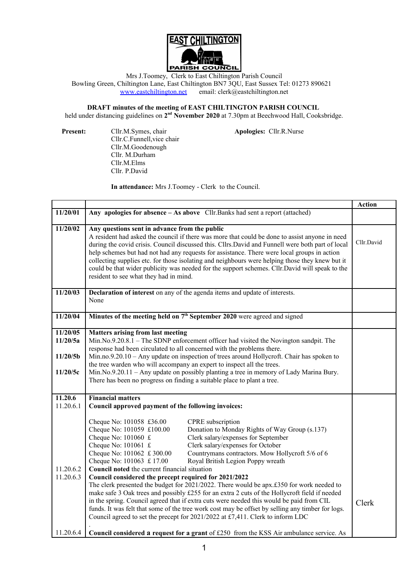

Mrs J.Toomey, Clerk to East Chiltington Parish Council Bowling Green, Chiltington Lane, East Chiltington BN7 3QU, East Sussex Tel: 01273 890621<br>www.eastchiltington.net email: clerk@eastchiltington.net email: clerk@eastchiltington.net

# **DRAFT minutes of the meeting of EAST CHILTINGTON PARISH COUNCIL**

held under distancing guidelines on  $2<sup>nd</sup>$  November 2020 at 7.30pm at Beechwood Hall, Cooksbridge.

Present: Cllr.M.Symes, chair **Apologies:** Cllr.R.Nurse Cllr.C.Funnell,vice chair Cllr.M.Goodenough Cllr. M.Durham Cllr.M.Elms Cllr. P.David

**In attendance:** Mrs J.Toomey - Clerk to the Council.

|                        |                                                                                                                                                                                                                                                                                                                                                                                                                                                                                                                                                                                                                                                                                                                                                                                                                                                                                                                                                                                                                                             | <b>Action</b> |
|------------------------|---------------------------------------------------------------------------------------------------------------------------------------------------------------------------------------------------------------------------------------------------------------------------------------------------------------------------------------------------------------------------------------------------------------------------------------------------------------------------------------------------------------------------------------------------------------------------------------------------------------------------------------------------------------------------------------------------------------------------------------------------------------------------------------------------------------------------------------------------------------------------------------------------------------------------------------------------------------------------------------------------------------------------------------------|---------------|
| 11/20/01               | Any apologies for absence - As above Cllr. Banks had sent a report (attached)                                                                                                                                                                                                                                                                                                                                                                                                                                                                                                                                                                                                                                                                                                                                                                                                                                                                                                                                                               |               |
| 11/20/02               | Any questions sent in advance from the public<br>A resident had asked the council if there was more that could be done to assist anyone in need<br>during the covid crisis. Council discussed this. Cllrs.David and Funnell were both part of local<br>help schemes but had not had any requests for assistance. There were local groups in action<br>collecting supplies etc. for those isolating and neighbours were helping those they knew but it<br>could be that wider publicity was needed for the support schemes. Cllr.David will speak to the<br>resident to see what they had in mind.                                                                                                                                                                                                                                                                                                                                                                                                                                           | Cllr.David    |
| 11/20/03               | Declaration of interest on any of the agenda items and update of interests.<br>None                                                                                                                                                                                                                                                                                                                                                                                                                                                                                                                                                                                                                                                                                                                                                                                                                                                                                                                                                         |               |
| 11/20/04               | Minutes of the meeting held on $7th$ September 2020 were agreed and signed                                                                                                                                                                                                                                                                                                                                                                                                                                                                                                                                                                                                                                                                                                                                                                                                                                                                                                                                                                  |               |
| 11/20/05<br>11/20/5a   | <b>Matters arising from last meeting</b><br>Min.No.9.20.8.1 - The SDNP enforcement officer had visited the Novington sandpit. The<br>response had been circulated to all concerned with the problems there.                                                                                                                                                                                                                                                                                                                                                                                                                                                                                                                                                                                                                                                                                                                                                                                                                                 |               |
| 11/20/5b<br>11/20/5c   | Min.no.9.20.10 - Any update on inspection of trees around Hollycroft. Chair has spoken to<br>the tree warden who will accompany an expert to inspect all the trees.<br>Min.No.9.20.11 – Any update on possibly planting a tree in memory of Lady Marina Bury.<br>There has been no progress on finding a suitable place to plant a tree.                                                                                                                                                                                                                                                                                                                                                                                                                                                                                                                                                                                                                                                                                                    |               |
| 11.20.6<br>11.20.6.1   | <b>Financial matters</b><br>Council approved payment of the following invoices:                                                                                                                                                                                                                                                                                                                                                                                                                                                                                                                                                                                                                                                                                                                                                                                                                                                                                                                                                             |               |
| 11.20.6.2<br>11.20.6.3 | Cheque No: 101058 £36.00<br>CPRE subscription<br>Cheque No: 101059 £100.00<br>Donation to Monday Rights of Way Group (s.137)<br>Cheque No: $101060 \text{ } \text{£}$<br>Clerk salary/expenses for September<br>Cheque No: $101061 \text{ } \text{£}$<br>Clerk salary/expenses for October<br>Countrymans contractors. Mow Hollycroft 5/6 of 6<br>Cheque No: 101062 £ 300.00<br>Cheque No: 101063 £ 17.00<br>Royal British Legion Poppy wreath<br>Council noted the current financial situation<br>Council considered the precept required for 2021/2022<br>The clerk presented the budget for 2021/2022. There would be $apx.f350$ for work needed to<br>make safe 3 Oak trees and possibly £255 for an extra 2 cuts of the Hollycroft field if needed<br>in the spring. Council agreed that if extra cuts were needed this would be paid from CIL<br>funds. It was felt that some of the tree work cost may be offset by selling any timber for logs.<br>Council agreed to set the precept for $2021/2022$ at £7,411. Clerk to inform LDC | Clerk         |
| 11.20.6.4              | Council considered a request for a grant of £250 from the KSS Air ambulance service. As                                                                                                                                                                                                                                                                                                                                                                                                                                                                                                                                                                                                                                                                                                                                                                                                                                                                                                                                                     |               |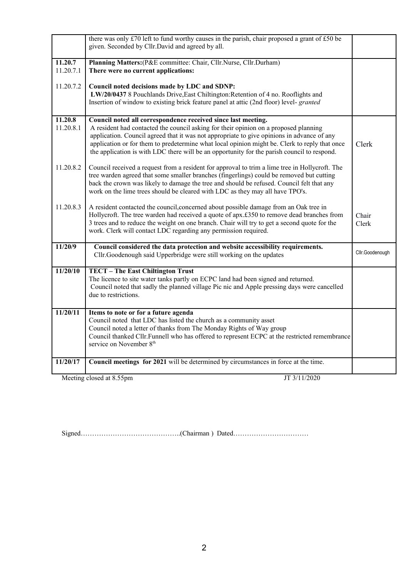|                                          | there was only £70 left to fund worthy causes in the parish, chair proposed a grant of £50 be<br>given. Seconded by Cllr.David and agreed by all.                                                                                                                                                                                                                                                                                                   |                 |
|------------------------------------------|-----------------------------------------------------------------------------------------------------------------------------------------------------------------------------------------------------------------------------------------------------------------------------------------------------------------------------------------------------------------------------------------------------------------------------------------------------|-----------------|
| 11.20.7<br>11.20.7.1                     | Planning Matters: (P&E committee: Chair, Cllr.Nurse, Cllr.Durham)<br>There were no current applications:                                                                                                                                                                                                                                                                                                                                            |                 |
| 11.20.7.2                                | Council noted decisions made by LDC and SDNP:<br>LW/20/0437 8 Pouchlands Drive, East Chiltington: Retention of 4 no. Rooflights and<br>Insertion of window to existing brick feature panel at attic (2nd floor) level-granted                                                                                                                                                                                                                       |                 |
| 11.20.8<br>11.20.8.1                     | Council noted all correspondence received since last meeting.<br>A resident had contacted the council asking for their opinion on a proposed planning<br>application. Council agreed that it was not appropriate to give opinions in advance of any<br>application or for them to predetermine what local opinion might be. Clerk to reply that once<br>the application is with LDC there will be an opportunity for the parish council to respond. | Clerk           |
| 11.20.8.2                                | Council received a request from a resident for approval to trim a lime tree in Hollycroft. The<br>tree warden agreed that some smaller branches (fingerlings) could be removed but cutting<br>back the crown was likely to damage the tree and should be refused. Council felt that any<br>work on the lime trees should be cleared with LDC as they may all have TPO's.                                                                            |                 |
| 11.20.8.3                                | A resident contacted the council, concerned about possible damage from an Oak tree in<br>Hollycroft. The tree warden had received a quote of apx.£350 to remove dead branches from<br>3 trees and to reduce the weight on one branch. Chair will try to get a second quote for the<br>work. Clerk will contact LDC regarding any permission required.                                                                                               | Chair<br>Clerk  |
| 11/20/9                                  | Council considered the data protection and website accessibility requirements.<br>Cllr.Goodenough said Upperbridge were still working on the updates                                                                                                                                                                                                                                                                                                | Cllr.Goodenough |
| 11/20/10                                 | TECT - The East Chiltington Trust<br>The licence to site water tanks partly on ECPC land had been signed and returned.<br>Council noted that sadly the planned village Pic nic and Apple pressing days were cancelled<br>due to restrictions.                                                                                                                                                                                                       |                 |
| 11/20/11                                 | Items to note or for a future agenda<br>Council noted that LDC has listed the church as a community asset<br>Council noted a letter of thanks from The Monday Rights of Way group<br>Council thanked Cllr.Funnell who has offered to represent ECPC at the restricted remembrance<br>service on November 8 <sup>th</sup>                                                                                                                            |                 |
| 11/20/17                                 | Council meetings for 2021 will be determined by circumstances in force at the time.                                                                                                                                                                                                                                                                                                                                                                 |                 |
| Meeting closed at 8.55pm<br>JT 3/11/2020 |                                                                                                                                                                                                                                                                                                                                                                                                                                                     |                 |

Signed……………………………………..(Chairman ) Dated……………………………